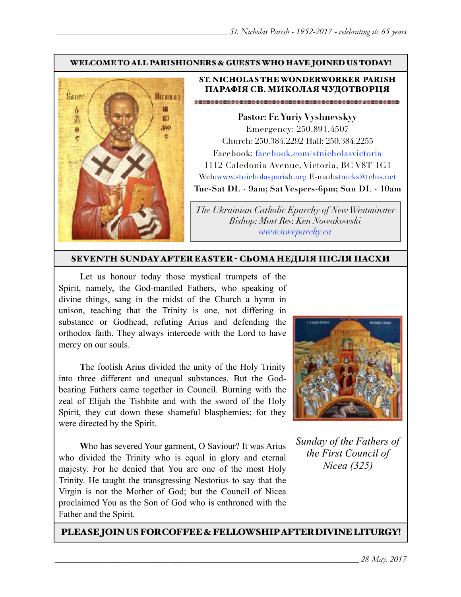#### WELCOME TO ALL PARISHIONERS & GUESTS WHO HAVE JOINED US TODAY!



#### ST. NICHOLAS THE WONDERWORKER PARISH ПАРАФІЯ СВ. МИКОЛАЯ ЧУДОТВОРЦЯ

**Pastor: Fr. Yuriy Vyshnevskyy** Emergency: 250.891.4507 Church: 250.384.2292 Hall: 250.384.2255 Facebook: facebook.com/stnicholasvictoria 1112 Caledonia Avenue, Victoria, BC V8T 1G1 Web[:www.stnicholasparish.org](http://www.stnicholasparish.org) E-mail:[stnicks@telus.net](mailto:stnicks@telus.net) **Tue-Sat DL - 9am; Sat Vespers-6pm; Sun DL - 10am**

*The Ukrainian Catholic Eparchy of New Westminster Bishop: Most Rev. Ken Nowakowski [www.nweparchy.ca](http://www.nweparchy.ca)*

#### SEVENTH SUNDAY AFTER EASTER - СЬОМАНЕДІЛЯ ПІСЛЯ ПАСХИ

Let us honour today those mystical trumpets of the Spirit, namely, the God-mantled Fathers, who speaking of divine things, sang in the midst of the Church a hymn in unison, teaching that the Trinity is one, not differing in substance or Godhead, refuting Arius and defending the orthodox faith. They always intercede with the Lord to have mercy on our souls.

**T**he foolish Arius divided the unity of the Holy Trinity into three different and unequal substances. But the Godbearing Fathers came together in Council. Burning with the zeal of Elijah the Tishbite and with the sword of the Holy Spirit, they cut down these shameful blasphemies; for they were directed by the Spirit.

**W**ho has severed Your garment, O Saviour? It was Arius who divided the Trinity who is equal in glory and eternal majesty. For he denied that You are one of the most Holy Trinity. He taught the transgressing Nestorius to say that the Virgin is not the Mother of God; but the Council of Nicea proclaimed You as the Son of God who is enthroned with the Father and the Spirit.



*Sunday of the Fathers of the First Council of Nicea (325)*

#### PLEASE JOIN US FOR COFFEE & FELLOWSHIP AFTER DIVINE LITURGY!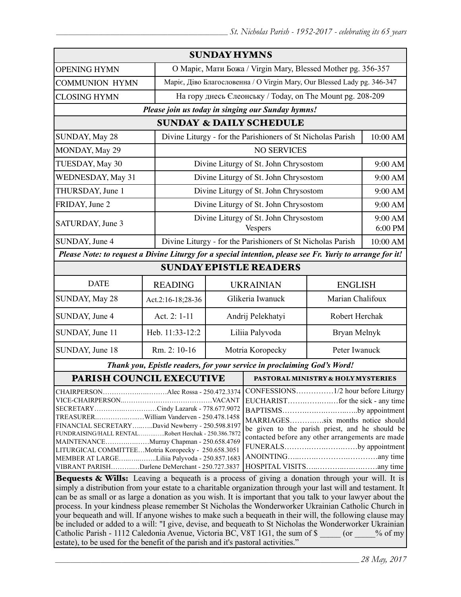| <b>SUNDAY HYMNS</b>                                                                                                                                                                                                                                                                                                                                                                                                                                                                                                                                                                                                                           |                   |                                                             |                                                                         |                                    |                    |  |
|-----------------------------------------------------------------------------------------------------------------------------------------------------------------------------------------------------------------------------------------------------------------------------------------------------------------------------------------------------------------------------------------------------------------------------------------------------------------------------------------------------------------------------------------------------------------------------------------------------------------------------------------------|-------------------|-------------------------------------------------------------|-------------------------------------------------------------------------|------------------------------------|--------------------|--|
| <b>OPENING HYMN</b>                                                                                                                                                                                                                                                                                                                                                                                                                                                                                                                                                                                                                           |                   |                                                             | О Маріє, Мати Божа / Virgin Mary, Blessed Mother pg. 356-357            |                                    |                    |  |
| <b>COMMUNION HYMN</b>                                                                                                                                                                                                                                                                                                                                                                                                                                                                                                                                                                                                                         |                   |                                                             | Маріє, Діво Благословенна / О Virgin Mary, Our Blessed Lady pg. 346-347 |                                    |                    |  |
| <b>CLOSING HYMN</b>                                                                                                                                                                                                                                                                                                                                                                                                                                                                                                                                                                                                                           |                   | На гору днесь Єлеонську / Today, on The Mount pg. 208-209   |                                                                         |                                    |                    |  |
| Please join us today in singing our Sunday hymns!                                                                                                                                                                                                                                                                                                                                                                                                                                                                                                                                                                                             |                   |                                                             |                                                                         |                                    |                    |  |
| <b>SUNDAY &amp; DAILY SCHEDULE</b>                                                                                                                                                                                                                                                                                                                                                                                                                                                                                                                                                                                                            |                   |                                                             |                                                                         |                                    |                    |  |
| SUNDAY, May 28                                                                                                                                                                                                                                                                                                                                                                                                                                                                                                                                                                                                                                |                   | Divine Liturgy - for the Parishioners of St Nicholas Parish |                                                                         |                                    | 10:00 AM           |  |
| MONDAY, May 29                                                                                                                                                                                                                                                                                                                                                                                                                                                                                                                                                                                                                                |                   |                                                             | <b>NO SERVICES</b>                                                      |                                    |                    |  |
| TUESDAY, May 30                                                                                                                                                                                                                                                                                                                                                                                                                                                                                                                                                                                                                               |                   |                                                             | Divine Liturgy of St. John Chrysostom                                   |                                    | 9:00 AM            |  |
| WEDNESDAY, May 31                                                                                                                                                                                                                                                                                                                                                                                                                                                                                                                                                                                                                             |                   |                                                             | Divine Liturgy of St. John Chrysostom                                   |                                    | 9:00 AM            |  |
| THURSDAY, June 1                                                                                                                                                                                                                                                                                                                                                                                                                                                                                                                                                                                                                              |                   | Divine Liturgy of St. John Chrysostom                       |                                                                         |                                    | 9:00 AM            |  |
| FRIDAY, June 2                                                                                                                                                                                                                                                                                                                                                                                                                                                                                                                                                                                                                                |                   |                                                             | Divine Liturgy of St. John Chrysostom                                   |                                    | 9:00 AM            |  |
| SATURDAY, June 3                                                                                                                                                                                                                                                                                                                                                                                                                                                                                                                                                                                                                              |                   |                                                             | Divine Liturgy of St. John Chrysostom<br><b>Vespers</b>                 |                                    | 9:00 AM<br>6:00 PM |  |
| SUNDAY, June 4                                                                                                                                                                                                                                                                                                                                                                                                                                                                                                                                                                                                                                |                   |                                                             | Divine Liturgy - for the Parishioners of St Nicholas Parish             |                                    | 10:00 AM           |  |
| Please Note: to request a Divine Liturgy for a special intention, please see Fr. Yuriy to arrange for it!                                                                                                                                                                                                                                                                                                                                                                                                                                                                                                                                     |                   |                                                             |                                                                         |                                    |                    |  |
| <b>SUNDAY EPISTLE READERS</b>                                                                                                                                                                                                                                                                                                                                                                                                                                                                                                                                                                                                                 |                   |                                                             |                                                                         |                                    |                    |  |
| <b>DATE</b>                                                                                                                                                                                                                                                                                                                                                                                                                                                                                                                                                                                                                                   | <b>READING</b>    |                                                             |                                                                         | <b>UKRAINIAN</b><br><b>ENGLISH</b> |                    |  |
| SUNDAY, May 28                                                                                                                                                                                                                                                                                                                                                                                                                                                                                                                                                                                                                                | Act.2:16-18;28-36 | Glikeria Iwanuck<br>Marian Chalifoux                        |                                                                         |                                    |                    |  |
| SUNDAY, June 4                                                                                                                                                                                                                                                                                                                                                                                                                                                                                                                                                                                                                                | Act. 2: 1-11      | Andrij Pelekhatyi                                           |                                                                         | Robert Herchak                     |                    |  |
| SUNDAY, June 11                                                                                                                                                                                                                                                                                                                                                                                                                                                                                                                                                                                                                               | Heb. 11:33-12:2   | Liliia Palyvoda                                             |                                                                         | Bryan Melnyk                       |                    |  |
| SUNDAY, June 18                                                                                                                                                                                                                                                                                                                                                                                                                                                                                                                                                                                                                               | Rm. 2: 10-16      | Motria Koropecky                                            |                                                                         |                                    | Peter Iwanuck      |  |
| Thank you, Epistle readers, for your service in proclaiming God's Word!                                                                                                                                                                                                                                                                                                                                                                                                                                                                                                                                                                       |                   |                                                             |                                                                         |                                    |                    |  |
| PARISH COUNCIL EXECUTIVE                                                                                                                                                                                                                                                                                                                                                                                                                                                                                                                                                                                                                      |                   |                                                             | <b>PASTORAL MINISTRY &amp; HOLY MYSTERIES</b>                           |                                    |                    |  |
| CHAIRPERSONAlec Rossa - 250.472.3374<br>SECRETARYCindy Lazaruk - 778.677.9072<br>BAPTISMSby appointment<br>TREASURERWilliam Vanderven - 250.478.1458<br>MARRIAGESsix months notice should<br>FINANCIAL SECRETARYDavid Newberry - 250.598.8197<br>be given to the parish priest, and he should be<br>FUNDRAISING/HALL RENTALRobert Herchak - 250.386.7872<br>contacted before any other arrangements are made<br>MAINTENANCEMurray Chapman - 250.658.4769<br>FUNERALSby appointment<br>LITURGICAL COMMITTEEMotria Koropecky - 250.658.3051<br>MEMBER AT LARGELiliia Palyvoda - 250.857.1683<br>VIBRANT PARISHDarlene DeMerchant - 250.727.3837 |                   |                                                             |                                                                         |                                    |                    |  |
| <b>Bequests &amp; Wills:</b> Leaving a bequeath is a process of giving a donation through your will. It is                                                                                                                                                                                                                                                                                                                                                                                                                                                                                                                                    |                   |                                                             |                                                                         |                                    |                    |  |

simply a distribution from your estate to a charitable organization through your last will and testament. It can be as small or as large a donation as you wish. It is important that you talk to your lawyer about the process. In your kindness please remember St Nicholas the Wonderworker Ukrainian Catholic Church in your bequeath and will. If anyone wishes to make such a bequeath in their will, the following clause may be included or added to a will: "I give, devise, and bequeath to St Nicholas the Wonderworker Ukrainian Catholic Parish - 1112 Caledonia Avenue, Victoria BC, V8T 1G1, the sum of \$  $\qquad \qquad$  (or  $\qquad \qquad$  % of my estate), to be used for the benefit of the parish and it's pastoral activities."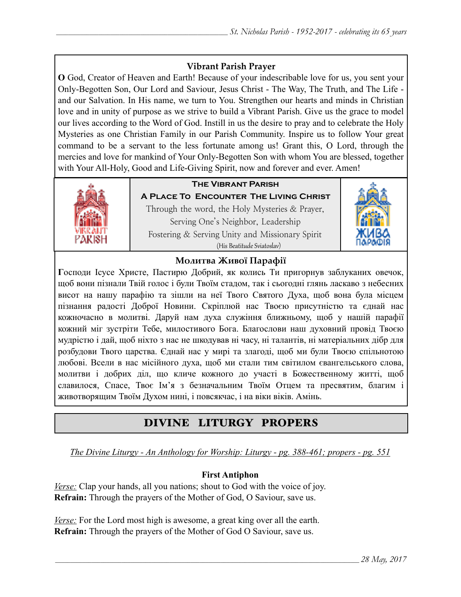## **Vibrant Parish Prayer**

**O** God, Creator of Heaven and Earth! Because of your indescribable love for us, you sent your Only-Begotten Son, Our Lord and Saviour, Jesus Christ - The Way, The Truth, and The Life and our Salvation. In His name, we turn to You. Strengthen our hearts and minds in Christian love and in unity of purpose as we strive to build a Vibrant Parish. Give us the grace to model our lives according to the Word of God. Instill in us the desire to pray and to celebrate the Holy Mysteries as one Christian Family in our Parish Community. Inspire us to follow Your great command to be a servant to the less fortunate among us! Grant this, O Lord, through the mercies and love for mankind of Your Only-Begotten Son with whom You are blessed, together with Your All-Holy, Good and Life-Giving Spirit, now and forever and ever. Amen!



## **The Vibrant Parish**

**A Place To Encounter The Living Christ** Through the word, the Holy Mysteries & Prayer, Serving One's Neighbor, Leadership Fostering & Serving Unity and Missionary Spirit (His Beatitude Sviatoslav)



## **Молитва Живої Парафії**

**Г**осподи Ісусе Христе, Пастирю Добрий, як колись Ти пригорнув заблуканих овечок, щоб вони пізнали Твій голос і були Твоїм стадом, так і сьогодні глянь ласкаво з небесних висот на нашу парафію та зішли на неї Твого Святого Духа, щоб вона була місцем пізнання радості Доброї Новини. Скріплюй нас Твоєю присутністю та єднай нас кожночасно в молитві. Даруй нам духа служіння ближньому, щоб у нашій парафії кожний міг зустріти Тебе, милостивого Бога. Благослови наш духовний провід Твоєю мудрістю і дай, щоб ніхто з нас не шкодував ні часу, ні талантів, ні матеріальних дібр для розбудови Твого царства. Єднай нас у мирі та злагоді, щоб ми були Твоєю спільнотою любові. Всели в нас місійного духа, щоб ми стали тим світилом євангельського слова, молитви і добрих діл, що кличе кожного до участі в Божественному житті, щоб славилося, Спасе, Твоє Ім'я з безначальним Твоїм Отцем та пресвятим, благим і животворящим Твоїм Духом нині, і повсякчас, і на віки віків. Амінь.

# DIVINE LITURGY PROPERS

*The Divine Liturgy - An Anthology for Worship: Liturgy - pg. 388-461; propers - pg. 551*

## **First Antiphon**

*Verse:* Clap your hands, all you nations; shout to God with the voice of joy. **Refrain:** Through the prayers of the Mother of God, O Saviour, save us.

*Verse:* For the Lord most high is awesome, a great king over all the earth. **Refrain:** Through the prayers of the Mother of God O Saviour, save us.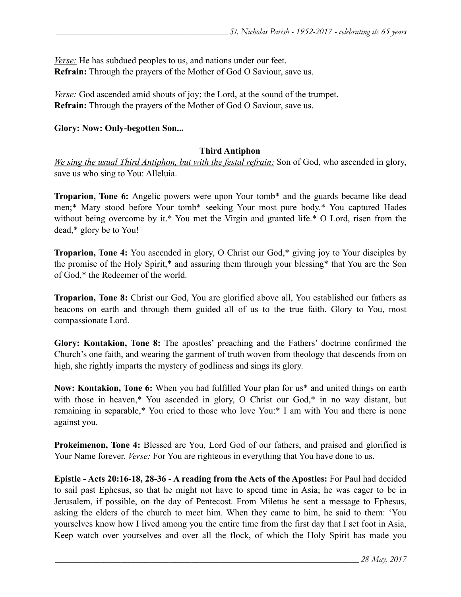*Verse:* He has subdued peoples to us, and nations under our feet. **Refrain:** Through the prayers of the Mother of God O Saviour, save us.

*<u>Verse:</u>* God ascended amid shouts of joy; the Lord, at the sound of the trumpet. **Refrain:** Through the prayers of the Mother of God O Saviour, save us.

#### **Glory: Now: Only-begotten Son...**

#### **Third Antiphon**

*We sing the usual Third Antiphon, but with the festal refrain:* Son of God, who ascended in glory, save us who sing to You: Alleluia.

**Troparion, Tone 6:** Angelic powers were upon Your tomb\* and the guards became like dead men;\* Mary stood before Your tomb\* seeking Your most pure body.\* You captured Hades without being overcome by it.\* You met the Virgin and granted life.\* O Lord, risen from the dead,\* glory be to You!

**Troparion, Tone 4:** You ascended in glory, O Christ our God,\* giving joy to Your disciples by the promise of the Holy Spirit,\* and assuring them through your blessing\* that You are the Son of God,\* the Redeemer of the world.

**Troparion, Tone 8:** Christ our God, You are glorified above all, You established our fathers as beacons on earth and through them guided all of us to the true faith. Glory to You, most compassionate Lord.

**Glory: Kontakion, Tone 8:** The apostles' preaching and the Fathers' doctrine confirmed the Church's one faith, and wearing the garment of truth woven from theology that descends from on high, she rightly imparts the mystery of godliness and sings its glory.

**Now: Kontakion, Tone 6:** When you had fulfilled Your plan for us\* and united things on earth with those in heaven,\* You ascended in glory, O Christ our God,\* in no way distant, but remaining in separable,\* You cried to those who love You:\* I am with You and there is none against you.

**Prokeimenon, Tone 4:** Blessed are You, Lord God of our fathers, and praised and glorified is Your Name forever. *Verse:* For You are righteous in everything that You have done to us.

**Epistle - Acts 20:16-18, 28-36 - A reading from the Acts of the Apostles:** For Paul had decided to sail past Ephesus, so that he might not have to spend time in Asia; he was eager to be in Jerusalem, if possible, on the day of Pentecost. From Miletus he sent a message to Ephesus, asking the elders of the church to meet him. When they came to him, he said to them: 'You yourselves know how I lived among you the entire time from the first day that I set foot in Asia, Keep watch over yourselves and over all the flock, of which the Holy Spirit has made you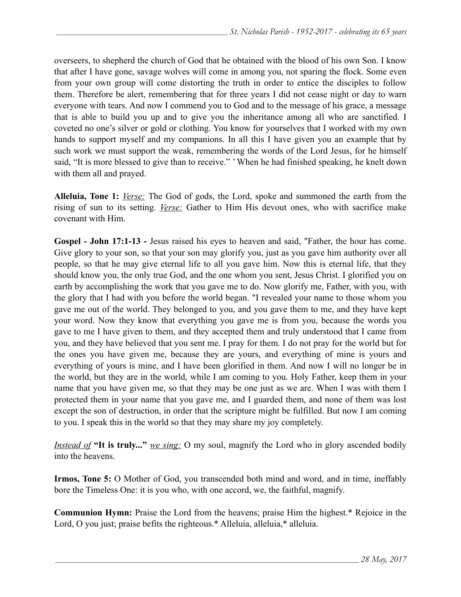overseers, to shepherd the church of God that he obtained with the blood of his own Son. I know that after I have gone, savage wolves will come in among you, not sparing the flock. Some even from your own group will come distorting the truth in order to entice the disciples to follow them. Therefore be alert, remembering that for three years I did not cease night or day to warn everyone with tears. And now I commend you to God and to the message of his grace, a message that is able to build you up and to give you the inheritance among all who are sanctified. I coveted no one's silver or gold or clothing. You know for yourselves that I worked with my own hands to support myself and my companions. In all this I have given you an example that by such work we must support the weak, remembering the words of the Lord Jesus, for he himself said, "It is more blessed to give than to receive." ' When he had finished speaking, he knelt down with them all and prayed.

**Alleluia, Tone 1:** *Verse:* The God of gods, the Lord, spoke and summoned the earth from the rising of sun to its setting. *Verse:* Gather to Him His devout ones, who with sacrifice make covenant with Him.

**Gospel - John 17:1-13 -** Jesus raised his eyes to heaven and said, "Father, the hour has come. Give glory to your son, so that your son may glorify you, just as you gave him authority over all people, so that he may give eternal life to all you gave him. Now this is eternal life, that they should know you, the only true God, and the one whom you sent, Jesus Christ. I glorified you on earth by accomplishing the work that you gave me to do. Now glorify me, Father, with you, with the glory that I had with you before the world began. "I revealed your name to those whom you gave me out of the world. They belonged to you, and you gave them to me, and they have kept your word. Now they know that everything you gave me is from you, because the words you gave to me I have given to them, and they accepted them and truly understood that I came from you, and they have believed that you sent me. I pray for them. I do not pray for the world but for the ones you have given me, because they are yours, and everything of mine is yours and everything of yours is mine, and I have been glorified in them. And now I will no longer be in the world, but they are in the world, while I am coming to you. Holy Father, keep them in your name that you have given me, so that they may be one just as we are. When I was with them I protected them in your name that you gave me, and I guarded them, and none of them was lost except the son of destruction, in order that the scripture might be fulfilled. But now I am coming to you. I speak this in the world so that they may share my joy completely.

*Instead of* **"It is truly..."** *we sing:* O my soul, magnify the Lord who in glory ascended bodily into the heavens.

**Irmos, Tone 5:** O Mother of God, you transcended both mind and word, and in time, ineffably bore the Timeless One: it is you who, with one accord, we, the faithful, magnify.

**Communion Hymn:** Praise the Lord from the heavens; praise Him the highest.\* Rejoice in the Lord, O you just; praise befits the righteous.\* Alleluia, alleluia,\* alleluia.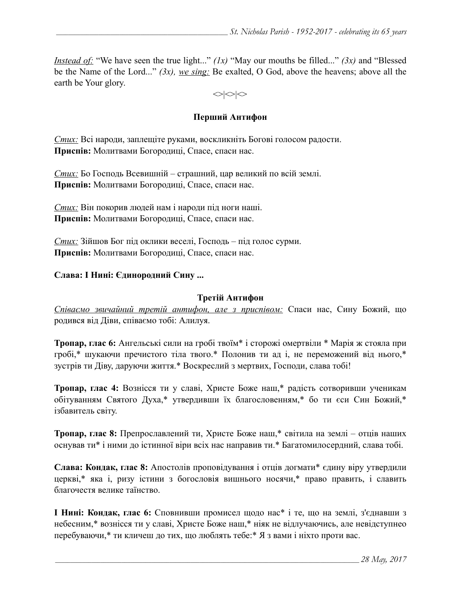*Instead of:* "We have seen the true light..." *(1x)* "May our mouths be filled..." *(3x)* and "Blessed be the Name of the Lord..." *(3x), we sing:* Be exalted, O God, above the heavens; above all the earth be Your glory.

 $\langle \rangle \langle \rangle$ 

#### **Перший Антифон**

*Стих:* Всі народи, заплещіте руками, воскликніть Богові голосом радости. **Приспів:** Молитвами Богородиці, Спасе, спаси нас.

*Стих:* Бо Господь Всевишній – страшний, цар великий по всій землі. **Приспів:** Молитвами Богородиці, Спасе, спаси нас.

*Стих:* Він покорив людей нам і народи під ноги наші. **Приспів:** Молитвами Богородиці, Спасе, спаси нас.

*Стих:* Зійшов Бог під оклики веселі, Господь – під голос сурми. **Приспів:** Молитвами Богородиці, Спасе, спаси нас.

#### **Слава: І Нині: Єдинородний Сину ...**

#### **Третій Антифон**

*Співаємо звичайний третій антифон, але з приспівoм:* Спаси нас, Сину Божий, що родився від Діви, співаємо тобі: Алилуя.

**Тропар, глас 6:** Ангельські сили на гробі твоїм\* і сторожі омертвіли \* Марія ж стояла при гробі,\* шукаючи пречистого тіла твого.\* Полонив ти ад і, не переможений від нього,\* зустрів ти Діву, даруючи життя.\* Воскреслий з мертвих, Господи, слава тобі!

**Тропар, глас 4:** Вознісся ти у славі, Христе Боже наш,\* радість сотворивши ученикам обітуванням Святого Духа,\* утвердивши їх благословенням,\* бо ти єси Син Божий,\* ізбавитель світу.

**Тропар, глас 8:** Препрославлений ти, Христе Боже наш,\* світила на землі – отців наших оснував ти\* і ними до істинної віри всіх нас направив ти.\* Багатомилосердний, слава тобі.

**Слава: Кондак, глас 8:** Апостолів проповідування і отців догмати\* єдину віру утвердили церкві,\* яка і, ризу істини з богословія вишнього носячи,\* право править, і славить благочестя велике таїнство.

**І Нині: Кондак, глас 6:** Сповнивши промисел щодо нас\* і те, що на землі, з'єднавши з небесним,\* вознісся ти у славі, Христе Боже наш,\* ніяк не відлучаючись, але невідступнео перебуваючи,\* ти кличеш до тих, що люблять тебе:\* Я з вами і ніхто проти вас.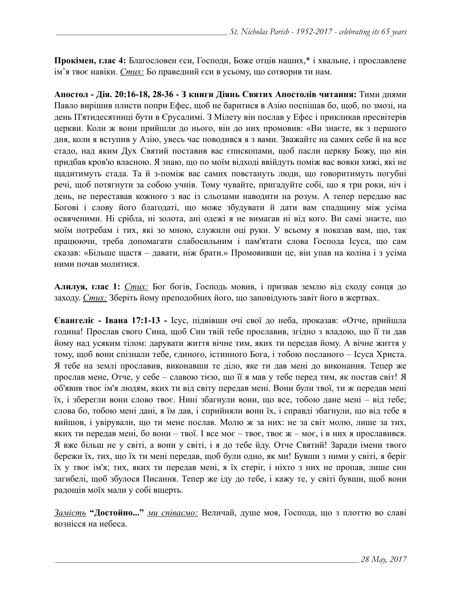**Прокімен, глас 4:** Благословен єси, Господи, Боже отців наших,\* і хвальне, і прославлене ім'я твоє навіки. *Стих:* Бо праведний єси в усьому, що сотворив ти нам.

**Апостол - Дія. 20:16-18, 28-36 - З книги Діянь Святих Апостолів читання:** Тими днями Павло вирішив плисти попри Ефес, щоб не баритися в Азію поспішав бо, щоб, по змозі, на день П'ятидесятниці бути в Єрусалимі. З Мілету він послав у Ефес і прикликав пресвітерів церкви. Коли ж вони прийшли до нього, він до них промовив: «Ви знаєте, як з першого дня, коли я вступив у Азію, увесь час поводився я з вами. Зважайте на самих себе й на все стадо, над яким Дух Святий поставив вас єпископами, щоб пасли церкву Божу, що він придбав кров'ю власною. Я знаю, що по моїм відході ввійдуть поміж вас вовки хижі, які не щадитимуть стада. Та й з-поміж вас самих повстануть люди, що говоритимуть погубні речі, щоб потягнути за собою учнів. Тому чувайте, пригадуйте собі, що я три роки, ніч і день, не переставав кожного з вас із сльозами наводити на розум. А тепер передаю вас Богові і слову його благодаті, що може збудувати й дати вам спадщину між усіма освяченими. Ні срібла, ні золота, ані одежі я не вимагав ні від кого. Ви самі знаєте, що моїм потребам і тих, які зо мною, служили оці руки. У всьому я показав вам, що, так працюючи, треба допомагати слабосильним і пам'ятати слова Господа Ісуса, що сам сказав: «Більше щастя – давати, ніж брати.» Промовивши це, він упав на коліна і з усіма ними почав молитися.

**Алилуя, глас 1:** *Стих:* Бог богів, Господь мовив, і призвав землю від сходу сонця до заходу. *Стих:* Зберіть йому преподобних його, що заповідують завіт його в жертвах.

**Євангеліє - Івана 17:1-13 -** Ісус, підвівши очі свої до неба, проказав: «Отче, прийшла година! Прослав свого Сина, щоб Син твій тебе прославив, згідно з владою, що її ти дав йому над усяким тілом: дарувати життя вічне тим, яких ти передав йому. А вічне життя у тому, щоб вони спізнали тебе, єдиного, істинного Бога, і тобою посланого – Ісуса Христа. Я тебе на землі прославив, виконавши те діло, яке ти дав мені до виконання. Тепер же прослав мене, Отче, у себе – славою тією, що її я мав у тебе перед тим, як постав світ! Я об'явив твоє ім'я людям, яких ти від світу передав мені. Вони були твої, ти ж передав мені їх, і зберегли вони слово твоє. Нині збагнули вони, що все, тобою дане мені – від тебе; слова бо, тобою мені дані, я їм дав, і сприйняли вони їх, і справді збагнули, що від тебе я вийшов, і увірували, що ти мене послав. Молю ж за них: не за світ молю, лише за тих, яких ти передав мені, бо вони – твої. І все моє – твоє, твоє ж – моє, і в них я прославився. Я вже більш не у світі, а вони у світі, і я до тебе йду. Отче Святий! Заради імени твого бережи їх, тих, що їх ти мені передав, щоб були одно, як ми! Бувши з ними у світі, я беріг їх у твоє ім'я; тих, яких ти передав мені, я їх стеріг, і ніхто з них не пропав, лише син загибелі, щоб збулося Писання. Тепер же іду до тебе, і кажу те, у світі бувши, щоб вони радощів моїх мали у собі вщерть.

*Замість* **"Достойно..."** *ми співаємо:* Величай, душе моя, Господа, що з плоттю во славі вознісся на небеса.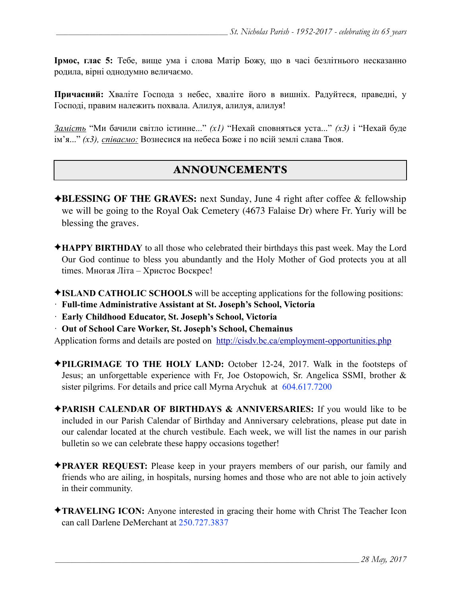**Ірмос, глас 5:** Тебе, вище ума і слова Матір Божу, що в часі безлітнього несказанно родила, вірні однодумно величаємо.

**Причасний:** Хваліте Господа з небес, хваліте його в вишніх. Радуйтеся, праведні, у Господі, правим належить похвала. Алилуя, aлилуя, aлилуя!

*Замість* "Ми бачили світло істинне..." *(x1)* "Нехай сповняться уста..." *(x3)* і "Нехай буде ім'я..." *(x3), співаємо:* Вознесися на небеса Боже і по всій землі слава Твоя.

# ANNOUNCEMENTS

- ✦**BLESSING OF THE GRAVES:** next Sunday, June 4 right after coffee & fellowship we will be going to the Royal Oak Cemetery (4673 Falaise Dr) where Fr. Yuriy will be blessing the graves.
- ✦**HAPPY BIRTHDAY** to all those who celebrated their birthdays this past week. May the Lord Our God continue to bless you abundantly and the Holy Mother of God protects you at all times. Многая Літа – Христос Воскрес!
- ✦**ISLAND CATHOLIC SCHOOLS** will be accepting applications for the following positions:
- · **Full-time Administrative Assistant at St. Joseph's School, Victoria**
- · **Early Childhood Educator, St. Joseph's School, Victoria**
- · **Out of School Care Worker, St. Joseph's School, Chemainus**

Application forms and details are posted on <http://cisdv.bc.ca/employment-opportunities.php>

- ✦**PILGRIMAGE TO THE HOLY LAND:** October 12-24, 2017. Walk in the footsteps of Jesus; an unforgettable experience with Fr, Joe Ostopowich, Sr. Angelica SSMI, brother & sister pilgrims. For details and price call Myrna Arychuk at 604.617.7200
- ✦**PARISH CALENDAR OF BIRTHDAYS & ANNIVERSARIES:** If you would like to be included in our Parish Calendar of Birthday and Anniversary celebrations, please put date in our calendar located at the church vestibule. Each week, we will list the names in our parish bulletin so we can celebrate these happy occasions together!
- ✦**PRAYER REQUEST:** Please keep in your prayers members of our parish, our family and friends who are ailing, in hospitals, nursing homes and those who are not able to join actively in their community.
- ✦**TRAVELING ICON:** Anyone interested in gracing their home with Christ The Teacher Icon can call Darlene DeMerchant at 250.727.3837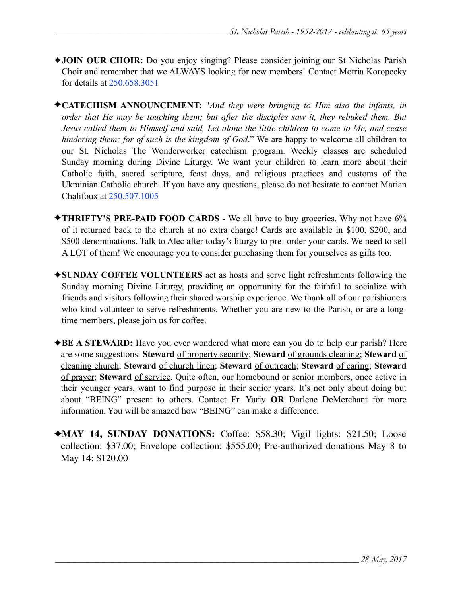- ✦**JOIN OUR CHOIR:** Do you enjoy singing? Please consider joining our St Nicholas Parish Choir and remember that we ALWAYS looking for new members! Contact Motria Koropecky for details at 250.658.3051
- ✦**CATECHISM ANNOUNCEMENT:** "*And they were bringing to Him also the infants, in order that He may be touching them; but after the disciples saw it, they rebuked them. But Jesus called them to Himself and said, Let alone the little children to come to Me, and cease hindering them; for of such is the kingdom of God*." We are happy to welcome all children to our St. Nicholas The Wonderworker catechism program. Weekly classes are scheduled Sunday morning during Divine Liturgy. We want your children to learn more about their Catholic faith, sacred scripture, feast days, and religious practices and customs of the Ukrainian Catholic church. If you have any questions, please do not hesitate to contact Marian Chalifoux at 250.507.1005
- ✦**THRIFTY'S PRE-PAID FOOD CARDS** We all have to buy groceries. Why not have 6% of it returned back to the church at no extra charge! Cards are available in \$100, \$200, and \$500 denominations. Talk to Alec after today's liturgy to pre- order your cards. We need to sell A LOT of them! We encourage you to consider purchasing them for yourselves as gifts too.
- ✦**SUNDAY COFFEE VOLUNTEERS** act as hosts and serve light refreshments following the Sunday morning Divine Liturgy, providing an opportunity for the faithful to socialize with friends and visitors following their shared worship experience. We thank all of our parishioners who kind volunteer to serve refreshments. Whether you are new to the Parish, or are a longtime members, please join us for coffee.
- ✦**BE A STEWARD:** Have you ever wondered what more can you do to help our parish? Here are some suggestions: **Steward** of property security; **Steward** of grounds cleaning; **Steward** of cleaning church; **Steward** of church linen; **Steward** of outreach; **Steward** of caring; **Steward** of prayer; **Steward** of service. Quite often, our homebound or senior members, once active in their younger years, want to find purpose in their senior years. It's not only about doing but about "BEING" present to others. Contact Fr. Yuriy **OR** Darlene DeMerchant for more information. You will be amazed how "BEING" can make a difference.
- ✦**MAY 14, SUNDAY DONATIONS:** Coffee: \$58.30; Vigil lights: \$21.50; Loose collection: \$37.00; Envelope collection: \$555.00; Pre-authorized donations May 8 to May 14: \$120.00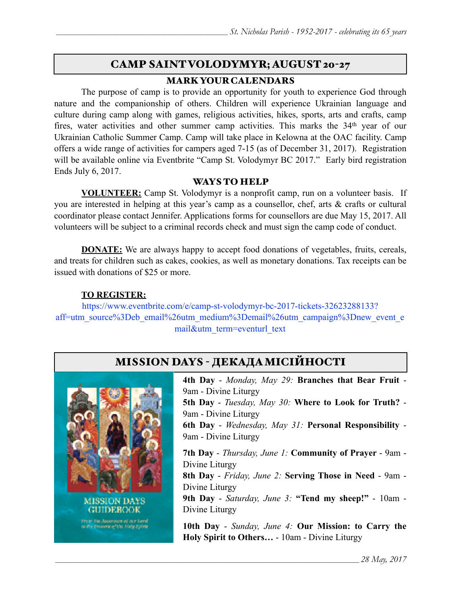# CAMP SAINT VOLODYMYR; AUGUST 20-27

## MARK YOUR CALENDARS

 The purpose of camp is to provide an opportunity for youth to experience God through nature and the companionship of others. Children will experience Ukrainian language and culture during camp along with games, religious activities, hikes, sports, arts and crafts, camp fires, water activities and other summer camp activities. This marks the 34<sup>th</sup> year of our Ukrainian Catholic Summer Camp. Camp will take place in Kelowna at the OAC facility. Camp offers a wide range of activities for campers aged 7-15 (as of December 31, 2017). Registration will be available online via Eventbrite "Camp St. Volodymyr BC 2017." Early bird registration Ends July 6, 2017.

#### WAYS TO HELP

**VOLUNTEER:** Camp St. Volodymyr is a nonprofit camp, run on a volunteer basis. If you are interested in helping at this year's camp as a counsellor, chef, arts & crafts or cultural coordinator please contact Jennifer. Applications forms for counsellors are due May 15, 2017. All volunteers will be subject to a criminal records check and must sign the camp code of conduct.

**DONATE:** We are always happy to accept food donations of vegetables, fruits, cereals, and treats for children such as cakes, cookies, as well as monetary donations. Tax receipts can be issued with donations of \$25 or more.

## **TO REGISTER:**

[https://www.eventbrite.com/e/camp-st-volodymyr-bc-2017-tickets-32623288133?](https://www.eventbrite.com/e/camp-st-volodymyr-bc-2017-tickets-32623288133?aff=utm_source%3Deb_email%26utm_medium%3Demail%26utm_campaign%3Dnew_event_email&utm_term=eventurl_text) [aff=utm\\_source%3Deb\\_email%26utm\\_medium%3Demail%26utm\\_campaign%3Dnew\\_event\\_e](https://www.eventbrite.com/e/camp-st-volodymyr-bc-2017-tickets-32623288133?aff=utm_source%3Deb_email%26utm_medium%3Demail%26utm_campaign%3Dnew_event_email&utm_term=eventurl_text) [mail&utm\\_term=eventurl\\_text](https://www.eventbrite.com/e/camp-st-volodymyr-bc-2017-tickets-32623288133?aff=utm_source%3Deb_email%26utm_medium%3Demail%26utm_campaign%3Dnew_event_email&utm_term=eventurl_text)



Divine Liturgy



**4th Day** - *Monday, May 29:* **Branches that Bear Fruit** - 9am - Divine Liturgy **5th Day** - *Tuesday, May 30:* **Where to Look for Truth?** - 9am - Divine Liturgy **6th Day** - *Wednesday, May 31:* **Personal Responsibility** - 9am - Divine Liturgy **7th Day** - *Thursday, June 1:* **Community of Prayer** - 9am - Divine Liturgy **8th Day** - *Friday, June 2:* **Serving Those in Need** - 9am - Divine Liturgy **9th Day** - *Saturday, June 3:* **"Tend my sheep!"** - 10am -

**10th Day** - *Sunday, June 4:* **Our Mission: to Carry the Holy Spirit to Others…** - 10am - Divine Liturgy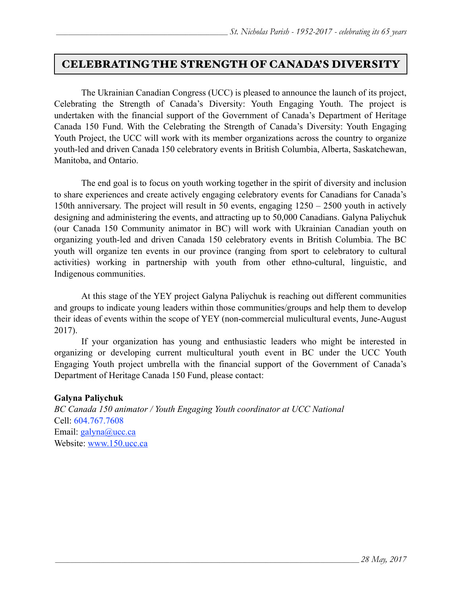## CELEBRATING THE STRENGTH OF CANADA'S DIVERSITY

 The Ukrainian Canadian Congress (UCC) is pleased to announce the launch of its project, Celebrating the Strength of Canada's Diversity: Youth Engaging Youth. The project is undertaken with the financial support of the Government of Canada's Department of Heritage Canada 150 Fund. With the Celebrating the Strength of Canada's Diversity: Youth Engaging Youth Project, the UCC will work with its member organizations across the country to organize youth-led and driven Canada 150 celebratory events in British Columbia, Alberta, Saskatchewan, Manitoba, and Ontario.

 The end goal is to focus on youth working together in the spirit of diversity and inclusion to share experiences and create actively engaging celebratory events for Canadians for Canada's 150th anniversary. The project will result in 50 events, engaging 1250 – 2500 youth in actively designing and administering the events, and attracting up to 50,000 Canadians. Galyna Paliychuk (our Canada 150 Community animator in BC) will work with Ukrainian Canadian youth on organizing youth-led and driven Canada 150 celebratory events in British Columbia. The BC youth will organize ten events in our province (ranging from sport to celebratory to cultural activities) working in partnership with youth from other ethno-cultural, linguistic, and Indigenous communities.

 At this stage of the YEY project Galyna Paliychuk is reaching out different communities and groups to indicate young leaders within those communities/groups and help them to develop their ideas of events within the scope of YEY (non-commercial mulicultural events, June-August 2017).

 If your organization has young and enthusiastic leaders who might be interested in organizing or developing current multicultural youth event in BC under the UCC Youth Engaging Youth project umbrella with the financial support of the Government of Canada's Department of Heritage Canada 150 Fund, please contact:

#### **Galyna Paliychuk**

*BC Canada 150 animator / Youth Engaging Youth coordinator at UCC National* Cell: 604.767.7608 Email: [galyna@ucc.ca](mailto:galyna@ucc.ca) Website: [www.150.ucc.ca](http://www.150.ucc.ca)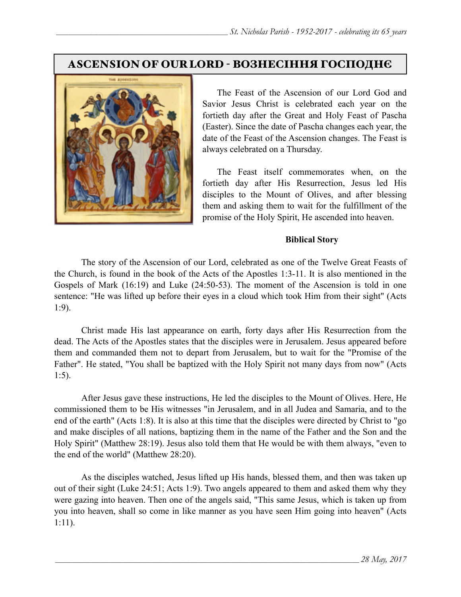## ASCENSION OF OUR LORD - ВОЗНЕСІННЯ ГОСПОДНЄ



 The Feast of the Ascension of our Lord God and Savior Jesus Christ is celebrated each year on the fortieth day after the Great and Holy Feast of Pascha (Easter). Since the date of Pascha changes each year, the date of the Feast of the Ascension changes. The Feast is always celebrated on a Thursday.

 The Feast itself commemorates when, on the fortieth day after His Resurrection, Jesus led His disciples to the Mount of Olives, and after blessing them and asking them to wait for the fulfillment of the promise of the Holy Spirit, He ascended into heaven.

#### **Biblical Story**

The story of the Ascension of our Lord, celebrated as one of the Twelve Great Feasts of the Church, is found in the book of the Acts of the Apostles 1:3-11. It is also mentioned in the Gospels of Mark (16:19) and Luke (24:50-53). The moment of the Ascension is told in one sentence: "He was lifted up before their eyes in a cloud which took Him from their sight" (Acts 1:9).

Christ made His last appearance on earth, forty days after His Resurrection from the dead. The Acts of the Apostles states that the disciples were in Jerusalem. Jesus appeared before them and commanded them not to depart from Jerusalem, but to wait for the "Promise of the Father". He stated, "You shall be baptized with the Holy Spirit not many days from now" (Acts 1:5).

After Jesus gave these instructions, He led the disciples to the Mount of Olives. Here, He commissioned them to be His witnesses "in Jerusalem, and in all Judea and Samaria, and to the end of the earth" (Acts 1:8). It is also at this time that the disciples were directed by Christ to "go and make disciples of all nations, baptizing them in the name of the Father and the Son and the Holy Spirit" (Matthew 28:19). Jesus also told them that He would be with them always, "even to the end of the world" (Matthew 28:20).

As the disciples watched, Jesus lifted up His hands, blessed them, and then was taken up out of their sight (Luke 24:51; Acts 1:9). Two angels appeared to them and asked them why they were gazing into heaven. Then one of the angels said, "This same Jesus, which is taken up from you into heaven, shall so come in like manner as you have seen Him going into heaven" (Acts 1:11).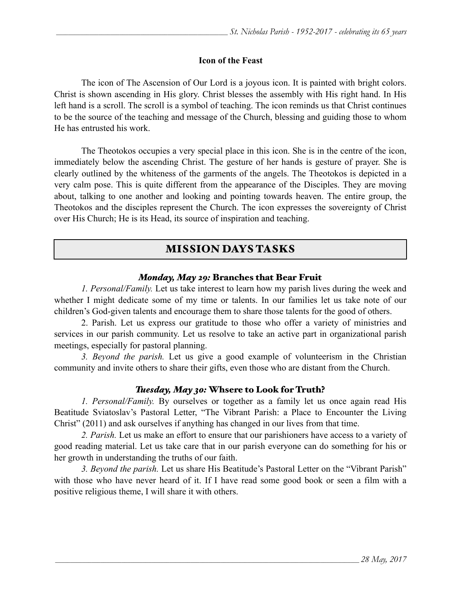#### **Icon of the Feast**

 The icon of The Ascension of Our Lord is a joyous icon. It is painted with bright colors. Christ is shown ascending in His glory. Christ blesses the assembly with His right hand. In His left hand is a scroll. The scroll is a symbol of teaching. The icon reminds us that Christ continues to be the source of the teaching and message of the Church, blessing and guiding those to whom He has entrusted his work.

 The Theotokos occupies a very special place in this icon. She is in the centre of the icon, immediately below the ascending Christ. The gesture of her hands is gesture of prayer. She is clearly outlined by the whiteness of the garments of the angels. The Theotokos is depicted in a very calm pose. This is quite different from the appearance of the Disciples. They are moving about, talking to one another and looking and pointing towards heaven. The entire group, the Theotokos and the disciples represent the Church. The icon expresses the sovereignty of Christ over His Church; He is its Head, its source of inspiration and teaching.

## MISSION DAYS TASKS

#### *Monday, May 29:* Branches that Bear Fruit

*1. Personal/Family.* Let us take interest to learn how my parish lives during the week and whether I might dedicate some of my time or talents. In our families let us take note of our children's God-given talents and encourage them to share those talents for the good of others.

 2. Parish. Let us express our gratitude to those who offer a variety of ministries and services in our parish community. Let us resolve to take an active part in organizational parish meetings, especially for pastoral planning.

*3. Beyond the parish.* Let us give a good example of volunteerism in the Christian community and invite others to share their gifts, even those who are distant from the Church.

## *Tuesday, May 30:* Whsere to Look for Truth?

*1. Personal/Family.* By ourselves or together as a family let us once again read His Beatitude Sviatoslav's Pastoral Letter, "The Vibrant Parish: a Place to Encounter the Living Christ" (2011) and ask ourselves if anything has changed in our lives from that time.

*2. Parish.* Let us make an effort to ensure that our parishioners have access to a variety of good reading material. Let us take care that in our parish everyone can do something for his or her growth in understanding the truths of our faith.

*3. Beyond the parish.* Let us share His Beatitude's Pastoral Letter on the "Vibrant Parish" with those who have never heard of it. If I have read some good book or seen a film with a positive religious theme, I will share it with others.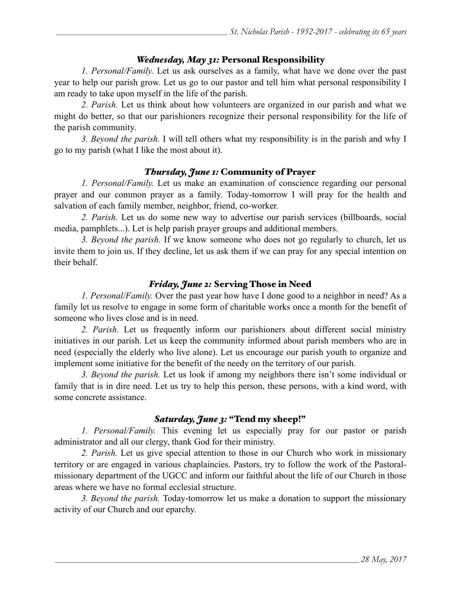## *Wednesday, May 31:* Personal Responsibility

*1. Personal/Family.* Let us ask ourselves as a family, what have we done over the past year to help our parish grow. Let us go to our pastor and tell him what personal responsibility I am ready to take upon myself in the life of the parish.

*2. Parish.* Let us think about how volunteers are organized in our parish and what we might do better, so that our parishioners recognize their personal responsibility for the life of the parish community.

*3. Beyond the parish.* I will tell others what my responsibility is in the parish and why I go to my parish (what I like the most about it).

#### *Thursday, June 1:* Community of Prayer

*1. Personal/Family.* Let us make an examination of conscience regarding our personal prayer and our common prayer as a family. Today-tomorrow I will pray for the health and salvation of each family member, neighbor, friend, co-worker.

*2. Parish.* Let us do some new way to advertise our parish services (billboards, social media, pamphlets...). Let is help parish prayer groups and additional members.

*3. Beyond the parish.* If we know someone who does not go regularly to church, let us invite them to join us. If they decline, let us ask them if we can pray for any special intention on their behalf.

#### *Friday, June 2:* Serving Those in Need

*1. Personal/Family.* Over the past year how have I done good to a neighbor in need? As a family let us resolve to engage in some form of charitable works once a month for the benefit of someone who lives close and is in need.

*2. Parish.* Let us frequently inform our parishioners about different social ministry initiatives in our parish. Let us keep the community informed about parish members who are in need (especially the elderly who live alone). Let us encourage our parish youth to organize and implement some initiative for the benefit of the needy on the territory of our parish.

*3. Beyond the parish.* Let us look if among my neighbors there isn't some individual or family that is in dire need. Let us try to help this person, these persons, with a kind word, with some concrete assistance.

#### *Saturday, June 3:* "Tend my sheep!"

*1. Personal/Family.* This evening let us especially pray for our pastor or parish administrator and all our clergy, thank God for their ministry.

*2. Parish.* Let us give special attention to those in our Church who work in missionary territory or are engaged in various chaplaincies. Pastors, try to follow the work of the Pastoralmissionary department of the UGCC and inform our faithful about the life of our Church in those areas where we have no formal ecclesial structure.

*3. Beyond the parish.* Today-tomorrow let us make a donation to support the missionary activity of our Church and our eparchy.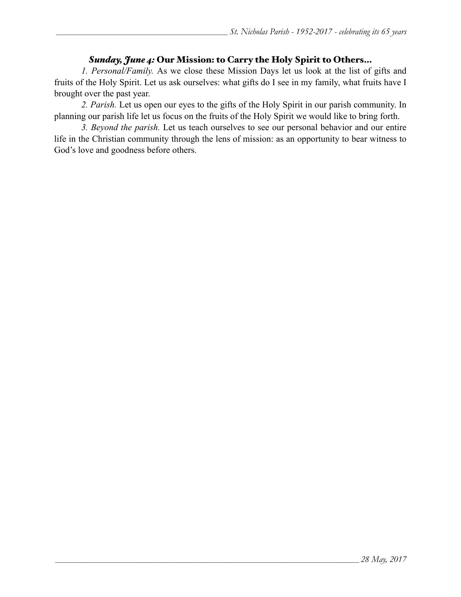#### *Sunday, June 4:* Our Mission: to Carry the Holy Spirit to Others…

*1. Personal/Family.* As we close these Mission Days let us look at the list of gifts and fruits of the Holy Spirit. Let us ask ourselves: what gifts do I see in my family, what fruits have I brought over the past year.

*2. Parish.* Let us open our eyes to the gifts of the Holy Spirit in our parish community. In planning our parish life let us focus on the fruits of the Holy Spirit we would like to bring forth.

*3. Beyond the parish.* Let us teach ourselves to see our personal behavior and our entire life in the Christian community through the lens of mission: as an opportunity to bear witness to God's love and goodness before others.